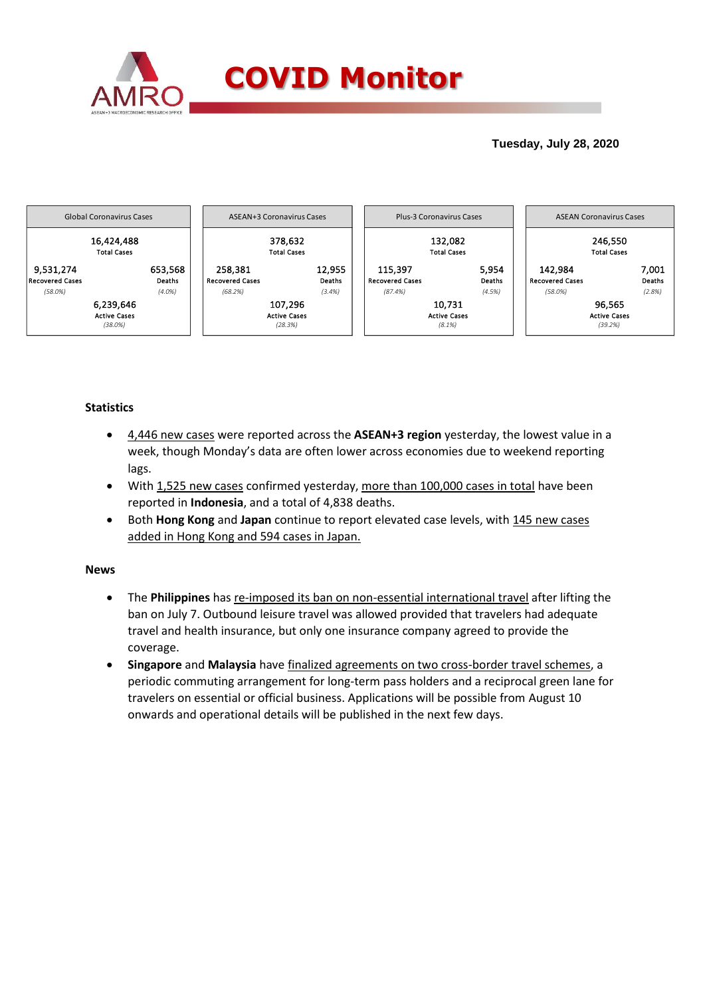

## **Tuesday, July 28, 2020**



## **Statistics**

- 4,446 new cases were reported across the **ASEAN+3 region** yesterday, the lowest value in a week, though Monday's data are often lower across economies due to weekend reporting lags.
- With 1,525 new cases confirmed yesterday, more than 100,000 cases in total have been reported in **Indonesia**, and a total of 4,838 deaths.
- Both **Hong Kong** and **Japan** continue to report elevated case levels, with 145 new cases added in Hong Kong and 594 cases in Japan.

## **News**

- The **Philippines** has re-imposed its ban on non-essential international travel after lifting the ban on July 7. Outbound leisure travel was allowed provided that travelers had adequate travel and health insurance, but only one insurance company agreed to provide the coverage.
- **Singapore** and **Malaysia** have finalized agreements on two cross-border travel schemes, a periodic commuting arrangement for long-term pass holders and a reciprocal green lane for travelers on essential or official business. Applications will be possible from August 10 onwards and operational details will be published in the next few days.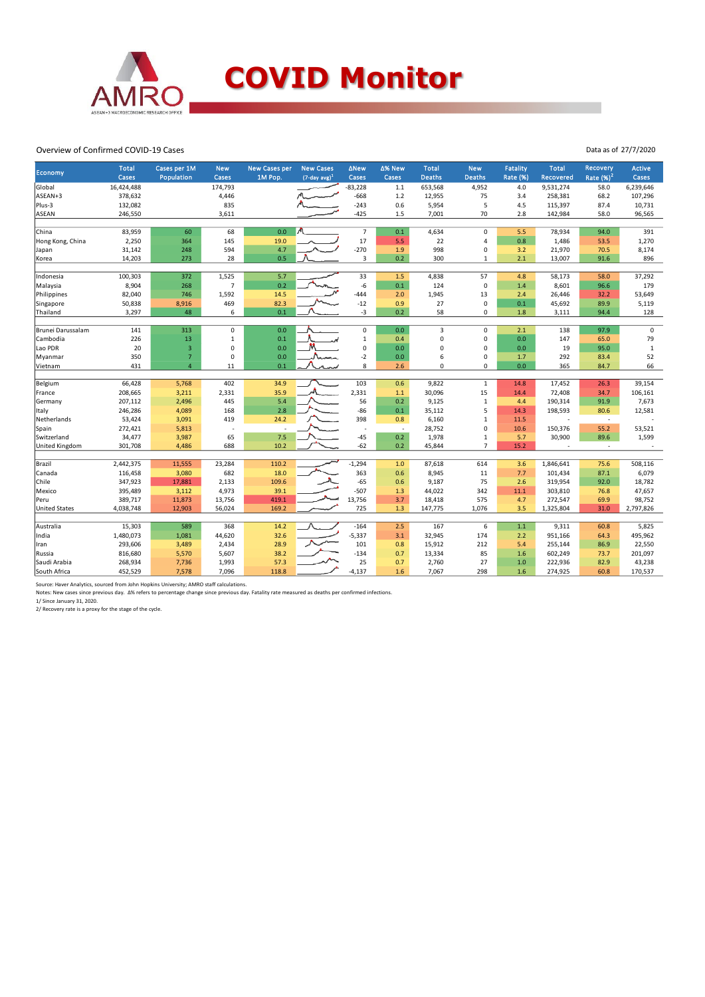

Overview of Confirmed COVID-19 Cases

| Economy              | Total<br>Cases | Cases per 1M<br>Population | <b>New</b><br>Cases | <b>New Cases per</b><br>1M Pop. | <b>New Cases</b><br>$(7$ -day avg) <sup>1</sup> | <b>ANew</b><br>Cases     | ∆% New<br>Cases          | <b>Total</b><br><b>Deaths</b> | <b>New</b><br><b>Deaths</b> | <b>Fatality</b><br><b>Rate (%)</b> | <b>Total</b><br>Recovered | Recovery<br>Rate $(%)2$ | <b>Active</b><br>Cases |
|----------------------|----------------|----------------------------|---------------------|---------------------------------|-------------------------------------------------|--------------------------|--------------------------|-------------------------------|-----------------------------|------------------------------------|---------------------------|-------------------------|------------------------|
| Global               | 16,424,488     |                            | 174,793             |                                 |                                                 | $-83,228$                | 1.1                      | 653,568                       | 4,952                       | 4.0                                | 9,531,274                 | 58.0                    | 6,239,646              |
| ASEAN+3              | 378,632        |                            | 4,446               |                                 |                                                 | $-668$                   | 1.2                      | 12,955                        | 75                          | 3.4                                | 258,381                   | 68.2                    | 107,296                |
| Plus-3               | 132,082        |                            | 835                 |                                 |                                                 | $-243$                   | 0.6                      | 5,954                         | 5                           | 4.5                                | 115,397                   | 87.4                    | 10,731                 |
| <b>ASEAN</b>         | 246,550        |                            | 3,611               |                                 |                                                 | $-425$                   | 1.5                      | 7,001                         | 70                          | 2.8                                | 142,984                   | 58.0                    | 96,565                 |
|                      |                |                            |                     |                                 |                                                 |                          |                          |                               |                             |                                    |                           |                         |                        |
| China                | 83,959         | 60                         | 68                  | 0.0                             | W                                               | $\overline{7}$           | 0.1                      | 4,634                         | $\pmb{0}$                   | 5.5                                | 78,934                    | 94.0                    | 391                    |
| Hong Kong, China     | 2,250          | 364                        | 145                 | 19.0                            |                                                 | 17                       | 5.5                      | 22                            | $\overline{4}$              | 0.8                                | 1,486                     | 53.5                    | 1,270                  |
| Japan                | 31,142         | 248                        | 594                 | 4.7                             |                                                 | $-270$                   | 1.9                      | 998                           | 0                           | 3.2                                | 21,970                    | 70.5                    | 8,174                  |
| Korea                | 14,203         | 273                        | 28                  | 0.5                             |                                                 | 3                        | 0.2                      | 300                           | $\mathbf{1}$                | 2.1                                | 13,007                    | 91.6                    | 896                    |
| Indonesia            | 100,303        | 372                        | 1,525               | 5.7                             |                                                 | 33                       | 1.5                      | 4,838                         | 57                          | 4.8                                | 58,173                    | 58.0                    | 37,292                 |
| Malaysia             | 8,904          | 268                        | $\overline{7}$      | 0.2                             |                                                 | $-6$                     | 0.1                      | 124                           | $\pmb{0}$                   | 1.4                                | 8,601                     | 96.6                    | 179                    |
| Philippines          | 82,040         | 746                        | 1,592               | 14.5                            |                                                 | $-444$                   | 2.0                      | 1,945                         | 13                          | 2.4                                | 26,446                    | 32.2                    | 53,649                 |
| Singapore            | 50,838         | 8,916                      | 469                 | 82.3                            |                                                 | $-12$                    | 0.9                      | 27                            | $\pmb{0}$                   | 0.1                                | 45,692                    | 89.9                    | 5,119                  |
| Thailand             | 3,297          | 48                         | 6                   | 0.1                             |                                                 | $-3$                     | 0.2                      | 58                            | $\mathbf 0$                 | 1.8                                | 3,111                     | 94.4                    | 128                    |
|                      |                |                            |                     |                                 |                                                 |                          |                          |                               |                             |                                    |                           |                         |                        |
| Brunei Darussalam    | 141            | 313                        | $\mathbf 0$         | 0.0                             |                                                 | 0                        | 0.0                      | 3                             | $\mathbf 0$                 | 2.1                                | 138                       | 97.9                    | $\pmb{0}$              |
| Cambodia             | 226            | 13                         | $\mathbf 1$         | 0.1                             |                                                 | $\mathbf{1}$             | 0.4                      | 0                             | 0                           | 0.0                                | 147                       | 65.0                    | 79                     |
| Lao PDR              | 20             | $\overline{3}$             | 0                   | 0.0                             |                                                 | 0                        | 0.0                      | 0                             | $\mathbf 0$                 | 0.0                                | 19                        | 95.0                    | $\,1\,$                |
| Myanmar              | 350            | $\overline{7}$             | $\mathbf 0$         | 0.0                             | Navma                                           | $-2$                     | 0.0                      | 6                             | $\pmb{0}$                   | 1.7                                | 292                       | 83.4                    | 52                     |
| Vietnam              | 431            | $\overline{4}$             | 11                  | 0.1                             |                                                 | 8                        | 2.6                      | 0                             | $\Omega$                    | 0.0                                | 365                       | 84.7                    | 66                     |
|                      |                |                            |                     |                                 |                                                 |                          |                          |                               |                             |                                    |                           |                         |                        |
| Belgium              | 66,428         | 5,768                      | 402                 | 34.9                            |                                                 | 103                      | 0.6                      | 9,822                         | $\mathbf{1}$                | 14.8                               | 17,452                    | 26.3                    | 39,154                 |
| France               | 208,665        | 3,211                      | 2,331               | 35.9                            |                                                 | 2,331                    | $1.1$                    | 30,096                        | 15                          | 14.4                               | 72,408                    | 34.7                    | 106,161                |
| Germany              | 207,112        | 2,496                      | 445                 | 5.4                             |                                                 | 56                       | 0.2                      | 9,125                         | $\mathbf{1}$                | 4.4                                | 190,314                   | 91.9                    | 7,673                  |
| Italy                | 246,286        | 4,089                      | 168                 | 2.8                             |                                                 | $-86$                    | 0.1                      | 35,112                        | 5                           | 14.3                               | 198,593                   | 80.6                    | 12,581                 |
| Netherlands          | 53,424         | 3,091                      | 419                 | 24.2                            |                                                 | 398                      | 0.8                      | 6,160                         | $\,1\,$                     | 11.5                               |                           | $\sim$                  |                        |
| Spain                | 272,421        | 5,813                      |                     | $\overline{\phantom{a}}$        |                                                 | $\overline{\phantom{a}}$ | $\overline{\phantom{a}}$ | 28,752                        | $\pmb{0}$                   | 10.6                               | 150,376                   | 55.2                    | 53,521                 |
| Switzerland          | 34,477         | 3,987                      | 65                  | 7.5                             |                                                 | $-45$                    | 0.2                      | 1,978                         | $\,1\,$<br>$\overline{7}$   | 5.7                                | 30,900                    | 89.6                    | 1,599                  |
| United Kingdom       | 301,708        | 4,486                      | 688                 | 10.2                            |                                                 | $-62$                    | 0.2                      | 45,844                        |                             | 15.2                               |                           | ÷,                      |                        |
| Brazil               | 2,442,375      | 11,555                     | 23,284              | 110.2                           |                                                 | $-1,294$                 | 1.0                      | 87,618                        | 614                         | 3.6                                | 1,846,641                 | 75.6                    | 508,116                |
| Canada               | 116,458        | 3,080                      | 682                 | 18.0                            |                                                 | 363                      | 0.6                      | 8,945                         | 11                          | 7.7                                | 101,434                   | 87.1                    | 6,079                  |
| Chile                | 347,923        | 17,881                     | 2,133               | 109.6                           |                                                 | $-65$                    | 0.6                      | 9,187                         | 75                          | 2.6                                | 319,954                   | 92.0                    | 18,782                 |
| Mexico               | 395,489        | 3,112                      | 4,973               | 39.1                            |                                                 | $-507$                   | 1.3                      | 44,022                        | 342                         | 11.1                               | 303,810                   | 76.8                    | 47,657                 |
| Peru                 | 389,717        | 11,873                     | 13,756              | 419.1                           |                                                 | 13,756                   | 3.7                      | 18,418                        | 575                         | 4.7                                | 272,547                   | 69.9                    | 98,752                 |
| <b>United States</b> | 4,038,748      | 12,903                     | 56,024              | 169.2                           |                                                 | 725                      | 1.3                      | 147,775                       | 1,076                       | 3.5                                | 1,325,804                 | 31.0                    | 2,797,826              |
|                      |                |                            |                     |                                 |                                                 |                          |                          |                               |                             |                                    |                           |                         |                        |
| Australia            | 15,303         | 589                        | 368                 | 14.2                            |                                                 | $-164$                   | 2.5                      | 167                           | 6                           | 1.1                                | 9,311                     | 60.8                    | 5,825                  |
| India                | 1,480,073      | 1,081                      | 44,620              | 32.6                            |                                                 | $-5,337$                 | 3.1                      | 32,945                        | 174                         | 2.2                                | 951,166                   | 64.3                    | 495,962                |
| Iran                 | 293,606        | 3,489                      | 2,434               | 28.9                            |                                                 | 101                      | 0.8                      | 15,912                        | 212                         | 5.4                                | 255,144                   | 86.9                    | 22,550                 |
| Russia               | 816,680        | 5,570                      | 5,607               | 38.2                            |                                                 | $-134$                   | 0.7                      | 13,334                        | 85                          | 1.6                                | 602,249                   | 73.7                    | 201,097                |
| Saudi Arabia         | 268,934        | 7,736                      | 1,993               | 57.3                            |                                                 | 25                       | 0.7                      | 2,760                         | 27                          | 1.0                                | 222,936                   | 82.9                    | 43,238                 |
| South Africa         | 452,529        | 7,578                      | 7,096               | 118.8                           |                                                 | $-4,137$                 | 1.6                      | 7,067                         | 298                         | 1.6                                | 274,925                   | 60.8                    | 170,537                |

Source: Haver Analytics, sourced from John Hopkins University; AMRO staff calculations.

Notes: New cases since previous day. ∆% refers to percentage change since previous day. Fatality rate measured as deaths per confirmed infections.<br>1/ Since January 31, 2020.<br>2/ Recovery rate is a proxy for the stage of the

Data as of 27/7/2020